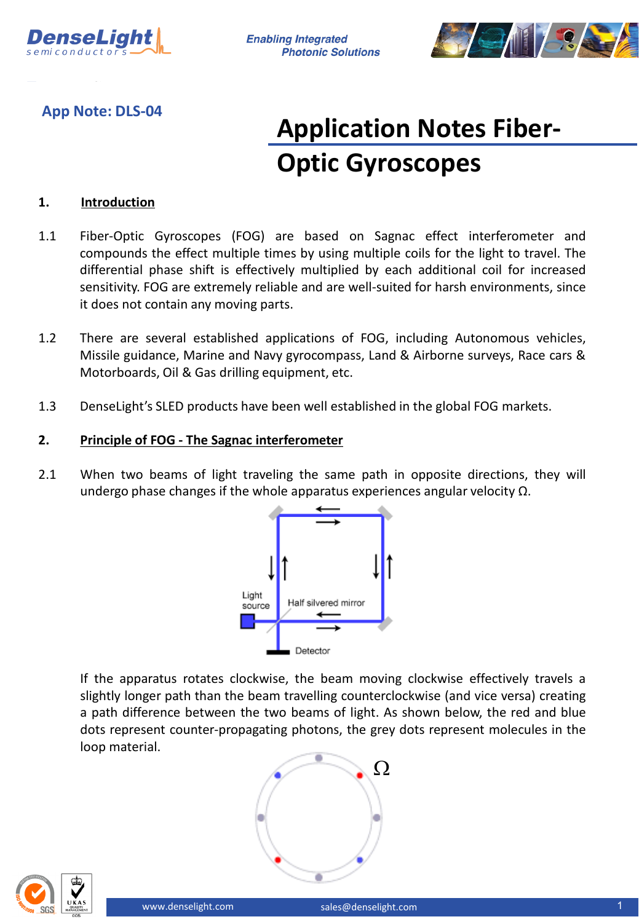

**Enabling Integrated Photonic Solutions** 



# **App Note: DLS-04**

# **Application Notes Fiber-Optic Gyroscopes**

## **1. Introduction**

- 1.1 Fiber-Optic Gyroscopes (FOG) are based on Sagnac effect interferometer and compounds the effect multiple times by using multiple coils for the light to travel. The differential phase shift is effectively multiplied by each additional coil for increased sensitivity. FOG are extremely reliable and are well-suited for harsh environments, since it does not contain any moving parts.
- 1.2 There are several established applications of FOG, including Autonomous vehicles, Missile guidance, Marine and Navy gyrocompass, Land & Airborne surveys, Race cars & Motorboards, Oil & Gas drilling equipment, etc.
- 1.3 DenseLight's SLED products have been well established in the global FOG markets.

### **2. Principle of FOG - The Sagnac interferometer**

2.1 When two beams of light traveling the same path in opposite directions, they will undergo phase changes if the whole apparatus experiences angular velocity  $\Omega$ .



If the apparatus rotates clockwise, the beam moving clockwise effectively travels a slightly longer path than the beam travelling counterclockwise (and vice versa) creating a path difference between the two beams of light. As shown below, the red and blue dots represent counter-propagating photons, the grey dots represent molecules in the loop material.